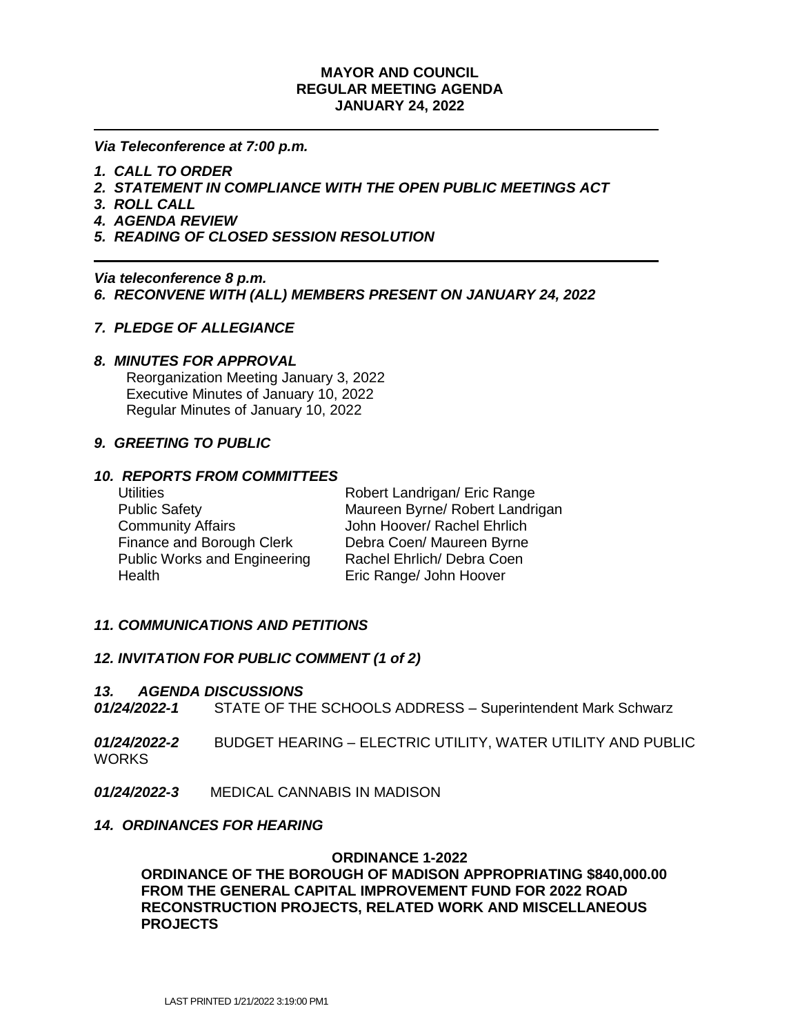### **MAYOR AND COUNCIL REGULAR MEETING AGENDA JANUARY 24, 2022**

*Via Teleconference at 7:00 p.m.*

- *1. CALL TO ORDER*
- *2. STATEMENT IN COMPLIANCE WITH THE OPEN PUBLIC MEETINGS ACT*
- *3. ROLL CALL*
- *4. AGENDA REVIEW*
- *5. READING OF CLOSED SESSION RESOLUTION*

*Via teleconference 8 p.m. 6. RECONVENE WITH (ALL) MEMBERS PRESENT ON JANUARY 24, 2022*

## *7. PLEDGE OF ALLEGIANCE*

### *8. MINUTES FOR APPROVAL*

 Reorganization Meeting January 3, 2022 Executive Minutes of January 10, 2022 Regular Minutes of January 10, 2022

### *9. GREETING TO PUBLIC*

#### *10. REPORTS FROM COMMITTEES*

 Community Affairs John Hoover/ Rachel Ehrlich Finance and Borough Clerk Debra Coen/ Maureen Byrne Public Works and Engineering Rachel Ehrlich/ Debra Coen Health Eric Range/ John Hoover

Utilities **Notainally Robert Landrigan/ Eric Range** Public Safety Maureen Byrne/ Robert Landrigan

### *11. COMMUNICATIONS AND PETITIONS*

### *12. INVITATION FOR PUBLIC COMMENT (1 of 2)*

#### *13. AGENDA DISCUSSIONS*

- *01/24/2022-1*STATE OF THE SCHOOLS ADDRESS Superintendent Mark Schwarz
- *01/24/2022-2*BUDGET HEARING ELECTRIC UTILITY, WATER UTILITY AND PUBLIC WORKS
- *01/24/2022-3*MEDICAL CANNABIS IN MADISON

### *14. ORDINANCES FOR HEARING*

#### **ORDINANCE 1-2022**

**ORDINANCE OF THE BOROUGH OF MADISON APPROPRIATING \$840,000.00 FROM THE GENERAL CAPITAL IMPROVEMENT FUND FOR 2022 ROAD RECONSTRUCTION PROJECTS, RELATED WORK AND MISCELLANEOUS PROJECTS**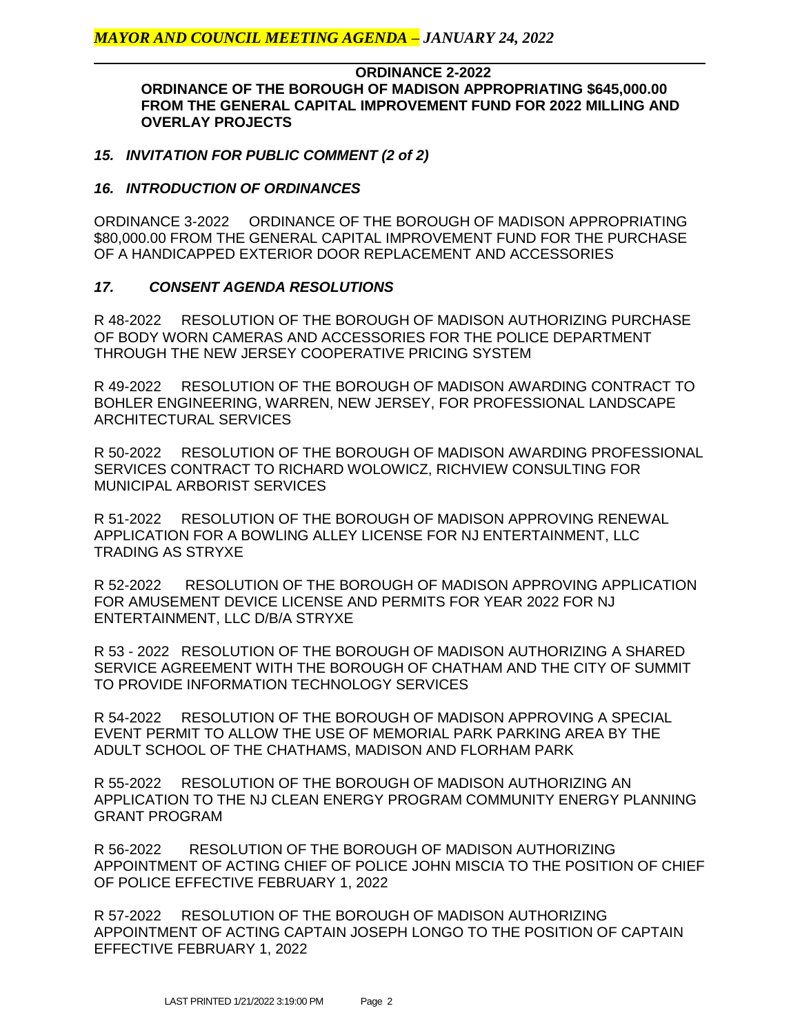### **ORDINANCE 2-2022 ORDINANCE OF THE BOROUGH OF MADISON APPROPRIATING \$645,000.00 FROM THE GENERAL CAPITAL IMPROVEMENT FUND FOR 2022 MILLING AND OVERLAY PROJECTS**

## *15. INVITATION FOR PUBLIC COMMENT (2 of 2)*

### *16. INTRODUCTION OF ORDINANCES*

ORDINANCE 3-2022 ORDINANCE OF THE BOROUGH OF MADISON APPROPRIATING \$80,000.00 FROM THE GENERAL CAPITAL IMPROVEMENT FUND FOR THE PURCHASE OF A HANDICAPPED EXTERIOR DOOR REPLACEMENT AND ACCESSORIES

## *17. CONSENT AGENDA RESOLUTIONS*

R 48-2022 RESOLUTION OF THE BOROUGH OF MADISON AUTHORIZING PURCHASE OF BODY WORN CAMERAS AND ACCESSORIES FOR THE POLICE DEPARTMENT THROUGH THE NEW JERSEY COOPERATIVE PRICING SYSTEM

R 49-2022 RESOLUTION OF THE BOROUGH OF MADISON AWARDING CONTRACT TO BOHLER ENGINEERING, WARREN, NEW JERSEY, FOR PROFESSIONAL LANDSCAPE ARCHITECTURAL SERVICES

R 50-2022 RESOLUTION OF THE BOROUGH OF MADISON AWARDING PROFESSIONAL SERVICES CONTRACT TO RICHARD WOLOWICZ, RICHVIEW CONSULTING FOR MUNICIPAL ARBORIST SERVICES

R 51-2022 RESOLUTION OF THE BOROUGH OF MADISON APPROVING RENEWAL APPLICATION FOR A BOWLING ALLEY LICENSE FOR NJ ENTERTAINMENT, LLC TRADING AS STRYXE

R 52-2022 RESOLUTION OF THE BOROUGH OF MADISON APPROVING APPLICATION FOR AMUSEMENT DEVICE LICENSE AND PERMITS FOR YEAR 2022 FOR NJ ENTERTAINMENT, LLC D/B/A STRYXE

R 53 - 2022 RESOLUTION OF THE BOROUGH OF MADISON AUTHORIZING A SHARED SERVICE AGREEMENT WITH THE BOROUGH OF CHATHAM AND THE CITY OF SUMMIT TO PROVIDE INFORMATION TECHNOLOGY SERVICES

R 54-2022 RESOLUTION OF THE BOROUGH OF MADISON APPROVING A SPECIAL EVENT PERMIT TO ALLOW THE USE OF MEMORIAL PARK PARKING AREA BY THE ADULT SCHOOL OF THE CHATHAMS, MADISON AND FLORHAM PARK

R 55-2022 RESOLUTION OF THE BOROUGH OF MADISON AUTHORIZING AN APPLICATION TO THE NJ CLEAN ENERGY PROGRAM COMMUNITY ENERGY PLANNING GRANT PROGRAM

R 56-2022 RESOLUTION OF THE BOROUGH OF MADISON AUTHORIZING APPOINTMENT OF ACTING CHIEF OF POLICE JOHN MISCIA TO THE POSITION OF CHIEF OF POLICE EFFECTIVE FEBRUARY 1, 2022

R 57-2022 RESOLUTION OF THE BOROUGH OF MADISON AUTHORIZING APPOINTMENT OF ACTING CAPTAIN JOSEPH LONGO TO THE POSITION OF CAPTAIN EFFECTIVE FEBRUARY 1, 2022